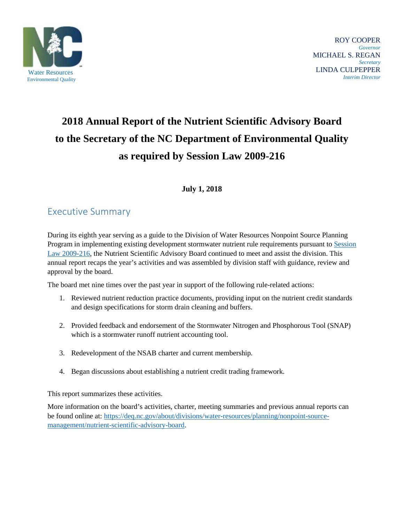

 ROY COOPER *Governor* MICHAEL S. REGAN *Secretary* LINDA CULPEPPER **INTERNATION COLLEGETER**<br>
For the proposed of the college of the college of the college of the college of the college of the college of the college of the college of the college of the college of the college of the college

# **2018 Annual Report of the Nutrient Scientific Advisory Board to the Secretary of the NC Department of Environmental Quality as required by Session Law 2009-216**

## **July 1, 2018**

# <span id="page-0-0"></span>Executive Summary

During its eighth year serving as a guide to the Division of Water Resources Nonpoint Source Planning Program in implementing existing development stormwater nutrient rule requirements pursuant to [Session](#page-5-0)  [Law 2009-216,](#page-5-0) the Nutrient Scientific Advisory Board continued to meet and assist the division. This annual report recaps the year's activities and was assembled by division staff with guidance, review and approval by the board.

The board met nine times over the past year in support of the following rule-related actions:

- 1. Reviewed nutrient reduction practice documents, providing input on the nutrient credit standards and design specifications for storm drain cleaning and buffers.
- 2. Provided feedback and endorsement of the Stormwater Nitrogen and Phosphorous Tool (SNAP) which is a stormwater runoff nutrient accounting tool.
- 3. Redevelopment of the NSAB charter and current membership.
- 4. Began discussions about establishing a nutrient credit trading framework.

This report summarizes these activities.

More information on the board's activities, charter, meeting summaries and previous annual reports can be found online at: [https://deq.nc.gov/about/divisions/water-resources/planning/nonpoint-source](https://deq.nc.gov/about/divisions/water-resources/planning/nonpoint-source-management/nutrient-scientific-advisory-board)[management/nutrient-scientific-advisory-board.](https://deq.nc.gov/about/divisions/water-resources/planning/nonpoint-source-management/nutrient-scientific-advisory-board)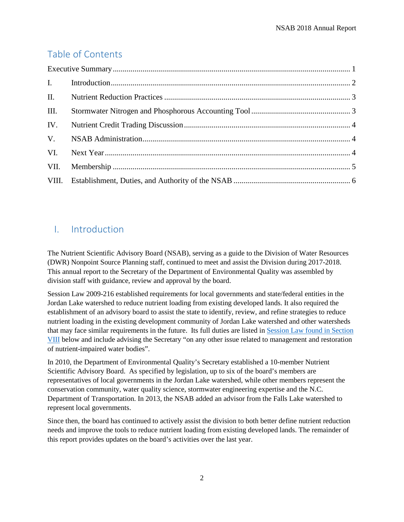# Table of Contents

| III. |  |  |  |  |
|------|--|--|--|--|
| IV.  |  |  |  |  |
|      |  |  |  |  |
|      |  |  |  |  |
| VII. |  |  |  |  |
|      |  |  |  |  |

# <span id="page-1-0"></span>I. Introduction

The Nutrient Scientific Advisory Board (NSAB), serving as a guide to the Division of Water Resources (DWR) Nonpoint Source Planning staff, continued to meet and assist the Division during 2017-2018. This annual report to the Secretary of the Department of Environmental Quality was assembled by division staff with guidance, review and approval by the board.

[Session Law 2009-216](http://www.ncleg.net/sessions/2009/bills/house/pdf/h239v6.pdf) established requirements for local governments and state/federal entities in the Jordan Lake watershed to reduce nutrient loading from existing developed lands. It also required the establishment of an advisory board to assist the state to identify, review, and refine strategies to reduce nutrient loading in the existing development community of Jordan Lake watershed and other watersheds that may face similar requirements in the future. Its full duties are listed in [Session Law found in Section](#page-5-0)  [VIII](#page-5-0) below and include advising the Secretary "on any other issue related to management and restoration of nutrient-impaired water bodies".

In 2010, the Department of Environmental Quality's Secretary established a 10-member Nutrient Scientific Advisory Board. As specified by legislation, up to six of the board's members are representatives of local governments in the Jordan Lake watershed, while other members represent the conservation community, water quality science, stormwater engineering expertise and the N.C. Department of Transportation. In 2013, the NSAB added an advisor from the Falls Lake watershed to represent local governments.

Since then, the board has continued to actively assist the division to both better define nutrient reduction needs and improve the tools to reduce nutrient loading from existing developed lands. The remainder of this report provides updates on the board's activities over the last year.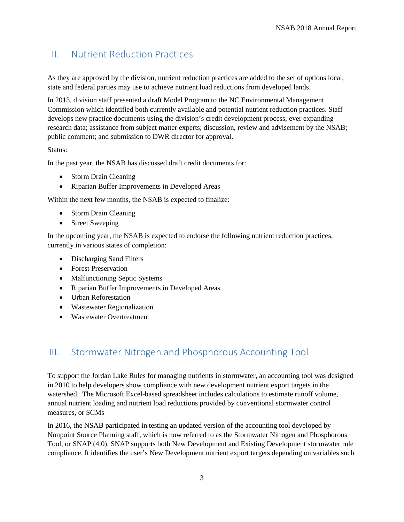## <span id="page-2-0"></span>II. Nutrient Reduction Practices

As they are approved by the division, nutrient reduction practices are added to the set of options local, state and federal parties may use to achieve nutrient load reductions from developed lands.

In 2013, division staff presented a draft Model Program to the NC Environmental Management Commission which identified both currently available and potential nutrient reduction practices. Staff develops new practice documents using the division's credit development process; ever expanding research data; assistance from subject matter experts; discussion, review and advisement by the NSAB; public comment; and submission to DWR director for approval.

#### Status:

In the past year, the NSAB has discussed draft credit documents for:

- Storm Drain Cleaning
- Riparian Buffer Improvements in Developed Areas

Within the next few months, the NSAB is expected to finalize:

- Storm Drain Cleaning
- Street Sweeping

In the upcoming year, the NSAB is expected to endorse the following nutrient reduction practices, currently in various states of completion:

- Discharging Sand Filters
- Forest Preservation
- Malfunctioning Septic Systems
- Riparian Buffer Improvements in Developed Areas
- Urban Reforestation
- Wastewater Regionalization
- Wastewater Overtreatment

## <span id="page-2-1"></span>III. Stormwater Nitrogen and Phosphorous Accounting Tool

To support the Jordan Lake Rules for managing nutrients in stormwater, an accounting tool was designed in 2010 to help developers show compliance with new development nutrient export targets in the watershed. The Microsoft Excel-based spreadsheet includes calculations to estimate runoff volume, annual nutrient loading and nutrient load reductions provided by conventional stormwater control measures, or SCMs

In 2016, the NSAB participated in testing an updated version of the accounting tool developed by Nonpoint Source Planning staff, which is now referred to as the Stormwater Nitrogen and Phosphorous Tool, or SNAP (4.0). SNAP supports both New Development and Existing Development stormwater rule compliance. It identifies the user's New Development nutrient export targets depending on variables such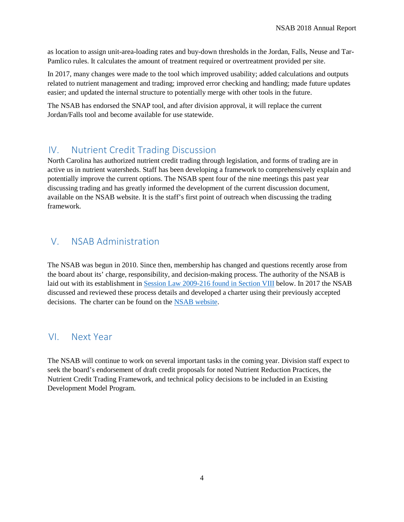as location to assign unit-area-loading rates and buy-down thresholds in the Jordan, Falls, Neuse and Tar-Pamlico rules. It calculates the amount of treatment required or overtreatment provided per site.

In 2017, many changes were made to the tool which improved usability; added calculations and outputs related to nutrient management and trading; improved error checking and handling; made future updates easier; and updated the internal structure to potentially merge with other tools in the future.

The NSAB has endorsed the SNAP tool, and after division approval, it will replace the current Jordan/Falls tool and become available for use statewide.

## <span id="page-3-0"></span>IV. Nutrient Credit Trading Discussion

North Carolina has authorized nutrient credit trading through legislation, and forms of trading are in active us in nutrient watersheds. Staff has been developing a framework to comprehensively explain and potentially improve the current options. The NSAB spent four of the nine meetings this past year discussing trading and has greatly informed the development of the current discussion document, available on the NSAB website. It is the staff's first point of outreach when discussing the trading framework.

## <span id="page-3-1"></span>V. NSAB Administration

The NSAB was begun in 2010. Since then, membership has changed and questions recently arose from the board about its' charge, responsibility, and decision-making process. The authority of the NSAB is laid out with its establishment in [Session Law 2009-216 found in Section VIII](#page-5-0) below. In 2017 the NSAB discussed and reviewed these process details and developed a charter using their previously accepted decisions. The charter can be found on the [NSAB website.](https://deq.nc.gov/about/divisions/water-resources/planning/nonpoint-source-management/nutrient-scientific-advisory-board.)

## <span id="page-3-2"></span>VI. Next Year

<span id="page-3-3"></span>The NSAB will continue to work on several important tasks in the coming year. Division staff expect to seek the board's endorsement of draft credit proposals for noted Nutrient Reduction Practices, the Nutrient Credit Trading Framework, and technical policy decisions to be included in an Existing Development Model Program.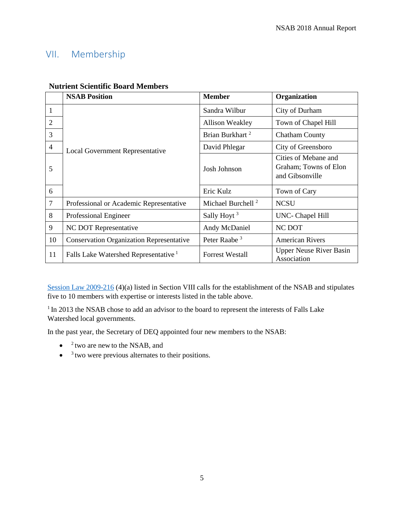## VII. Membership

|                | <b>NSAB Position</b>                             | <b>Member</b>                 | Organization                                                     |
|----------------|--------------------------------------------------|-------------------------------|------------------------------------------------------------------|
| 1              | Local Government Representative                  | Sandra Wilbur                 | City of Durham                                                   |
| $\overline{2}$ |                                                  | <b>Allison Weakley</b>        | Town of Chapel Hill                                              |
| 3              |                                                  | Brian Burkhart <sup>2</sup>   | <b>Chatham County</b>                                            |
| $\overline{4}$ |                                                  | David Phlegar                 | City of Greensboro                                               |
| 5              |                                                  | Josh Johnson                  | Cities of Mebane and<br>Graham; Towns of Elon<br>and Gibsonville |
| 6              |                                                  | Eric Kulz                     | Town of Cary                                                     |
| $\overline{7}$ | Professional or Academic Representative          | Michael Burchell <sup>2</sup> | <b>NCSU</b>                                                      |
| 8              | Professional Engineer                            | Sally Hoyt <sup>3</sup>       | UNC- Chapel Hill                                                 |
| 9              | NC DOT Representative                            | Andy McDaniel                 | <b>NC DOT</b>                                                    |
| 10             | <b>Conservation Organization Representative</b>  | Peter Raabe <sup>3</sup>      | <b>American Rivers</b>                                           |
| 11             | Falls Lake Watershed Representative <sup>1</sup> | <b>Forrest Westall</b>        | <b>Upper Neuse River Basin</b><br>Association                    |

#### **Nutrient Scientific Board Members**

[Session Law 2009-216](#page-5-0) (4)(a) listed in Section VIII calls for the establishment of the NSAB and stipulates five to 10 members with expertise or interests listed in the table above.

<sup>1</sup> In 2013 the NSAB chose to add an advisor to the board to represent the interests of Falls Lake Watershed local governments.

In the past year, the Secretary of DEQ appointed four new members to the NSAB:

- $\bullet$  <sup>2</sup> two are new to the NSAB, and
- $\bullet$   $\delta$  two were previous alternates to their positions.